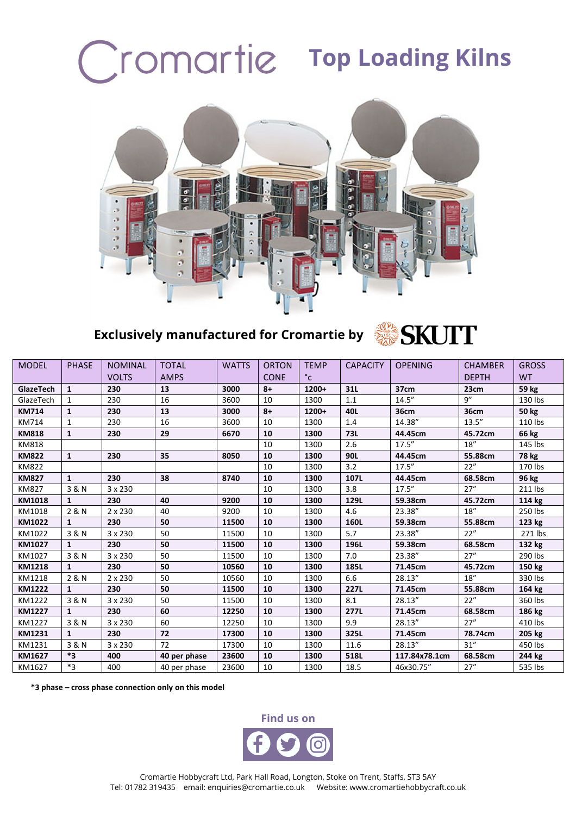## Cromartie Top Loading Kilns



## **Exclusively manufactured for Cromartie by**

## SKUTT

| <b>MODEL</b>  | <b>PHASE</b> | <b>NOMINAL</b> | <b>TOTAL</b> | <b>WATTS</b> | <b>ORTON</b> | <b>TEMP</b> | <b>CAPACITY</b> | <b>OPENING</b> | <b>CHAMBER</b> | <b>GROSS</b> |
|---------------|--------------|----------------|--------------|--------------|--------------|-------------|-----------------|----------------|----------------|--------------|
|               |              | <b>VOLTS</b>   | <b>AMPS</b>  |              | <b>CONE</b>  | °c          |                 |                | <b>DEPTH</b>   | <b>WT</b>    |
| GlazeTech     | 1            | 230            | 13           | 3000         | $8+$         | 1200+       | 31L             | 37cm           | 23cm           | 59 kg        |
| GlazeTech     | $\mathbf{1}$ | 230            | 16           | 3600         | 10           | 1300        | 1.1             | 14.5''         | 9''            | 130 lbs      |
| <b>KM714</b>  | 1            | 230            | 13           | 3000         | $8+$         | 1200+       | 40L             | 36cm           | <b>36cm</b>    | <b>50 kg</b> |
| KM714         | $\mathbf{1}$ | 230            | 16           | 3600         | 10           | 1300        | 1.4             | 14.38"         | 13.5''         | 110 lbs      |
| <b>KM818</b>  | 1            | 230            | 29           | 6670         | 10           | 1300        | 73L             | 44.45cm        | 45.72cm        | 66 kg        |
| <b>KM818</b>  |              |                |              |              | 10           | 1300        | 2.6             | 17.5''         | 18''           | 145 lbs      |
| <b>KM822</b>  | $\mathbf{1}$ | 230            | 35           | 8050         | 10           | 1300        | 90L             | 44.45cm        | 55.88cm        | 78 kg        |
| <b>KM822</b>  |              |                |              |              | 10           | 1300        | 3.2             | 17.5''         | 22"            | 170 lbs      |
| <b>KM827</b>  | $\mathbf{1}$ | 230            | 38           | 8740         | 10           | 1300        | 107L            | 44.45cm        | 68.58cm        | 96 kg        |
| <b>KM827</b>  | 3 & N        | 3 x 230        |              |              | 10           | 1300        | 3.8             | 17.5''         | 27''           | 211 lbs      |
| KM1018        | 1            | 230            | 40           | 9200         | 10           | 1300        | 129L            | 59.38cm        | 45.72cm        | 114 kg       |
| KM1018        | 2 & N        | $2 \times 230$ | 40           | 9200         | 10           | 1300        | 4.6             | 23.38"         | 18''           | 250 lbs      |
| KM1022        | 1            | 230            | 50           | 11500        | 10           | 1300        | 160L            | 59.38cm        | 55.88cm        | 123 kg       |
| KM1022        | 3 & N        | 3 x 230        | 50           | 11500        | 10           | 1300        | 5.7             | 23.38"         | 22"            | 271 lbs      |
| KM1027        | 1            | 230            | 50           | 11500        | 10           | 1300        | 196L            | 59.38cm        | 68.58cm        | 132 kg       |
| KM1027        | 3 & N        | 3 x 230        | 50           | 11500        | 10           | 1300        | 7.0             | 23.38"         | 27''           | 290 lbs      |
| <b>KM1218</b> | 1            | 230            | 50           | 10560        | 10           | 1300        | 185L            | 71.45cm        | 45.72cm        | 150 kg       |
| KM1218        | 2 & N        | 2 x 230        | 50           | 10560        | 10           | 1300        | 6.6             | 28.13"         | 18''           | 330 lbs      |
| <b>KM1222</b> | $\mathbf{1}$ | 230            | 50           | 11500        | 10           | 1300        | <b>227L</b>     | 71.45cm        | 55.88cm        | 164 kg       |
| KM1222        | 3 & N        | 3 x 230        | 50           | 11500        | 10           | 1300        | 8.1             | 28.13"         | 22"            | 360 lbs      |
| <b>KM1227</b> | $\mathbf{1}$ | 230            | 60           | 12250        | 10           | 1300        | 277L            | 71.45cm        | 68.58cm        | 186 kg       |
| KM1227        | 3 & N        | 3 x 230        | 60           | 12250        | 10           | 1300        | 9.9             | 28.13"         | 27"            | 410 lbs      |
| KM1231        | 1            | 230            | 72           | 17300        | 10           | 1300        | 325L            | 71.45cm        | 78.74cm        | 205 kg       |
| KM1231        | 3 & N        | 3 x 230        | 72           | 17300        | 10           | 1300        | 11.6            | 28.13"         | 31''           | 450 lbs      |
| KM1627        | *3           | 400            | 40 per phase | 23600        | 10           | 1300        | 518L            | 117.84x78.1cm  | 68.58cm        | 244 kg       |
| KM1627        | *3           | 400            | 40 per phase | 23600        | 10           | 1300        | 18.5            | 46x30.75"      | 27''           | 535 lbs      |

**\*3 phase – cross phase connection only on this model**